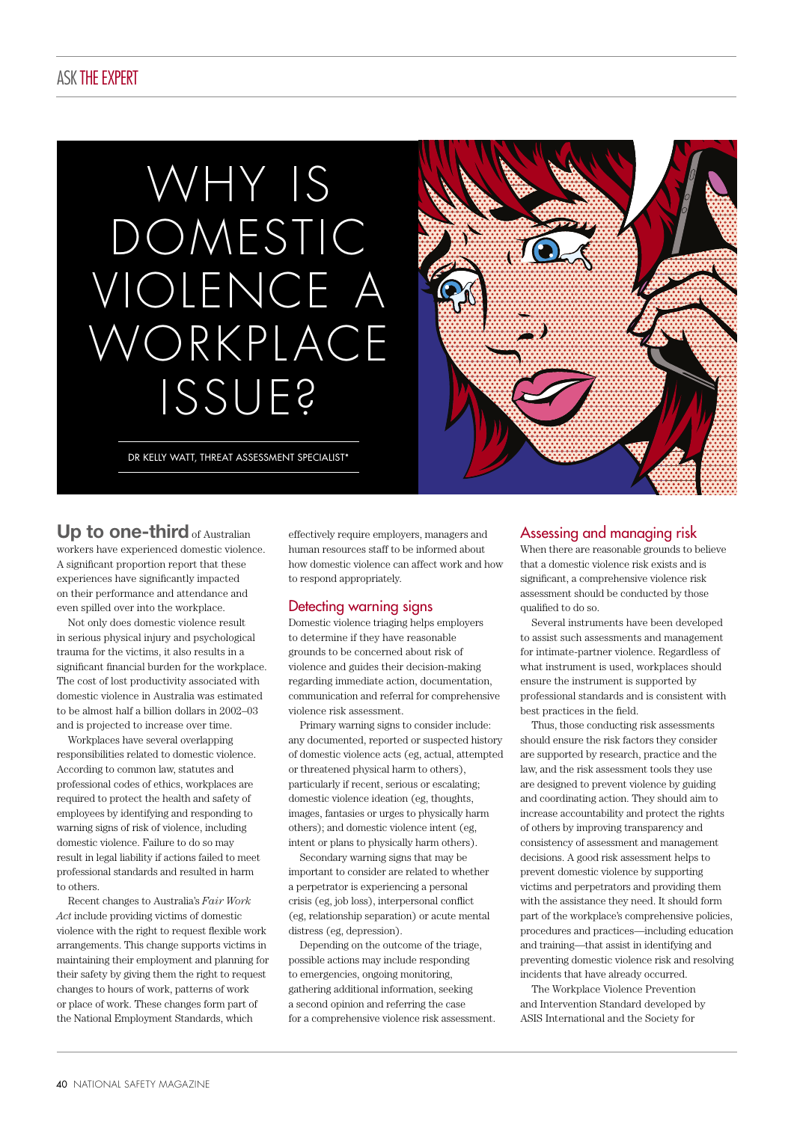## ASKTHE EXPERT

# WHY IS DOMESTIC IOLENCE A WORKPLACE ISSUE?

DR KELLY WATT, THREAT ASSESSMENT SPECIALIST\*



Up to one-third of Australian workers have experienced domestic violence. A significant proportion report that these experiences have significantly impacted on their performance and attendance and even spilled over into the workplace.

Not only does domestic violence result in serious physical injury and psychological trauma for the victims, it also results in a significant financial burden for the workplace. The cost of lost productivity associated with domestic violence in Australia was estimated to be almost half a billion dollars in 2002–03 and is projected to increase over time.

Workplaces have several overlapping responsibilities related to domestic violence. According to common law, statutes and professional codes of ethics, workplaces are required to protect the health and safety of employees by identifying and responding to warning signs of risk of violence, including domestic violence. Failure to do so may result in legal liability if actions failed to meet professional standards and resulted in harm to others.

Recent changes to Australia's *Fair Work Act* include providing victims of domestic violence with the right to request flexible work arrangements. This change supports victims in maintaining their employment and planning for their safety by giving them the right to request changes to hours of work, patterns of work or place of work. These changes form part of the National Employment Standards, which

effectively require employers, managers and human resources staff to be informed about how domestic violence can affect work and how to respond appropriately.

## Detecting warning signs

Domestic violence triaging helps employers to determine if they have reasonable grounds to be concerned about risk of violence and guides their decision-making regarding immediate action, documentation, communication and referral for comprehensive violence risk assessment.

Primary warning signs to consider include: any documented, reported or suspected history of domestic violence acts (eg, actual, attempted or threatened physical harm to others), particularly if recent, serious or escalating; domestic violence ideation (eg, thoughts, images, fantasies or urges to physically harm others); and domestic violence intent (eg, intent or plans to physically harm others).

Secondary warning signs that may be important to consider are related to whether a perpetrator is experiencing a personal crisis (eg, job loss), interpersonal conflict (eg, relationship separation) or acute mental distress (eg, depression).

Depending on the outcome of the triage, possible actions may include responding to emergencies, ongoing monitoring, gathering additional information, seeking a second opinion and referring the case for a comprehensive violence risk assessment.

## Assessing and managing risk

When there are reasonable grounds to believe that a domestic violence risk exists and is significant, a comprehensive violence risk assessment should be conducted by those qualified to do so.

Several instruments have been developed to assist such assessments and management for intimate-partner violence. Regardless of what instrument is used, workplaces should ensure the instrument is supported by professional standards and is consistent with best practices in the field.

Thus, those conducting risk assessments should ensure the risk factors they consider are supported by research, practice and the law, and the risk assessment tools they use are designed to prevent violence by guiding and coordinating action. They should aim to increase accountability and protect the rights of others by improving transparency and consistency of assessment and management decisions. A good risk assessment helps to prevent domestic violence by supporting victims and perpetrators and providing them with the assistance they need. It should form part of the workplace's comprehensive policies, procedures and practices—including education and training—that assist in identifying and preventing domestic violence risk and resolving incidents that have already occurred.

The Workplace Violence Prevention and Intervention Standard developed by ASIS International and the Society for